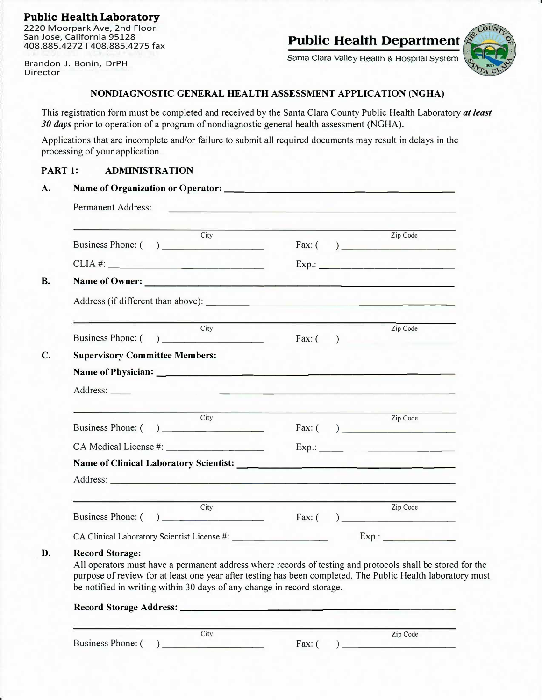### Public Health Laboratory

2220 Moorpark Ave, 2nd Floor San Jose, California 95128 408.885.4272 I 408.885.4275 fax

Brandon J. Bonin, DrPH Director

**Public Health Department** 

Santa Clara valley Health & Hospital System



#### **NONDIAGNOSTIC GENERAL HEALTH ASSESSMENT APPLICATION (NGHA)**

This registration form must be completed and received by the Santa Clara County Public Health Laboratory *at least 30 days* prior to operation of a program of nondiagnostic general health assessment (NGHA).

Applications that are incomplete and/or failure to submit all required documents may result in delays in the processing of your application.

## **PART 1: ADMINISTRATION**

| City<br>Business Phone: ()                                                                                                                                                                                                                                              |  | Zip Code<br>Fax: ( )                                    |
|-------------------------------------------------------------------------------------------------------------------------------------------------------------------------------------------------------------------------------------------------------------------------|--|---------------------------------------------------------|
| CLIA #:                                                                                                                                                                                                                                                                 |  | $Exp.$ :                                                |
| Name of Owner:                                                                                                                                                                                                                                                          |  |                                                         |
|                                                                                                                                                                                                                                                                         |  |                                                         |
| City<br>Business Phone: $\begin{pmatrix} 1 & 1 \\ 1 & 1 \end{pmatrix}$                                                                                                                                                                                                  |  | Zip Code<br>Fax: ( )                                    |
| <b>Supervisory Committee Members:</b><br>Address: Note and the contract of the contract of the contract of the contract of the contract of the contract of the contract of the contract of the contract of the contract of the contract of the contract of the contract |  |                                                         |
| City                                                                                                                                                                                                                                                                    |  | Zip Code                                                |
| Business Phone: ()                                                                                                                                                                                                                                                      |  | Fax: $\left(\begin{array}{c} \hline \end{array}\right)$ |
|                                                                                                                                                                                                                                                                         |  |                                                         |
| Name of Clinical Laboratory Scientist: Name of Clinical Laboratory Scientist:                                                                                                                                                                                           |  |                                                         |
| City<br>Business Phone: ( ) City Fax: ( ) Zip Code                                                                                                                                                                                                                      |  | Zip Code                                                |
|                                                                                                                                                                                                                                                                         |  |                                                         |

#### **Record Storage Address: \_\_\_\_\_\_\_\_\_\_\_\_\_\_\_\_\_\_\_\_\_\_\_\_\_**

Business Phone:  $\begin{pmatrix} 0 & 1 \\ 0 & 1 \end{pmatrix}$  Fax:  $\begin{pmatrix} 1 & 1 \\ 1 & 1 \end{pmatrix}$ 

City Zip Code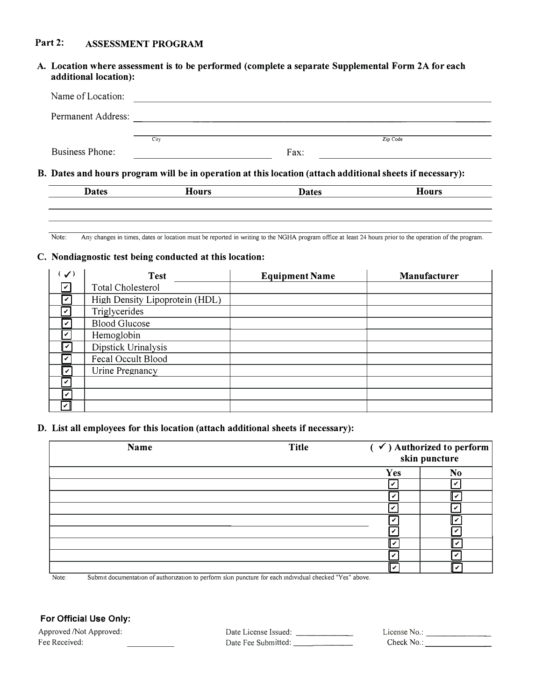# **Part 2: ASSESSMENT PROGRAM**

| additional location):  |      | A. Location where assessment is to be performed (complete a separate Supplemental Form 2A for each        |          |
|------------------------|------|-----------------------------------------------------------------------------------------------------------|----------|
| Name of Location:      |      |                                                                                                           |          |
| Permanent Address:     |      |                                                                                                           |          |
|                        | City |                                                                                                           | Zip Code |
| <b>Business Phone:</b> |      | Fax:                                                                                                      |          |
|                        |      | B. Dates and hours program will be in operation at this location (attach additional sheets if necessary): |          |

**Dates** Hours **Hours Dates** Hours **Hours** 

Note: Any changes in times, dates or location must be reported in writing to the NGHA program office at least 24 hours prior to the operation of the program.

### **C. Nondiagnostic test being conducted at this location:**

| $\checkmark$                 | <b>Test</b>                    | <b>Equipment Name</b> | Manufacturer |
|------------------------------|--------------------------------|-----------------------|--------------|
| V                            | Total Cholesterol              |                       |              |
| Iv                           | High Density Lipoprotein (HDL) |                       |              |
| $\boldsymbol{\triangledown}$ | Triglycerides                  |                       |              |
| V                            | <b>Blood Glucose</b>           |                       |              |
| ١v                           | Hemoglobin                     |                       |              |
| V                            | Dipstick Urinalysis            |                       |              |
| lv                           | Fecal Occult Blood             |                       |              |
| v                            | Urine Pregnancy                |                       |              |
| ١v                           |                                |                       |              |
|                              |                                |                       |              |
| $\vert\bm{\mathsf{v}}\vert$  |                                |                       |              |

#### **D. List all employees for this location (attach additional sheets if necessary):**

| Name                                                                                                                     | <b>Title</b> |     | $\sqrt{\phantom{a}}$ ) Authorized to perform<br>skin puncture |  |
|--------------------------------------------------------------------------------------------------------------------------|--------------|-----|---------------------------------------------------------------|--|
|                                                                                                                          |              | Yes | N <sub>0</sub>                                                |  |
|                                                                                                                          |              |     |                                                               |  |
|                                                                                                                          |              |     | ✓                                                             |  |
|                                                                                                                          |              |     |                                                               |  |
|                                                                                                                          |              |     | v                                                             |  |
|                                                                                                                          |              |     |                                                               |  |
|                                                                                                                          |              |     | v                                                             |  |
|                                                                                                                          |              |     |                                                               |  |
| Orkers depressioners of each concerne to professe the presenting for each individual shouled West shores<br>$N1 - 4 - 1$ |              |     |                                                               |  |

Note: Submit documentation of authorization to perform skin puncture for each individual checked "Yes" above.

## **For Official Use Only:**

Approved /Not Approved: Date License Issued: \_\_\_\_\_\_ License No.: \_\_\_\_\_\_\_

Fee Received: Date Fee Submitted: \_\_\_\_\_\_ Check No.: \_\_\_\_\_\_\_

| License No.: |  |  |
|--------------|--|--|
| Check No.    |  |  |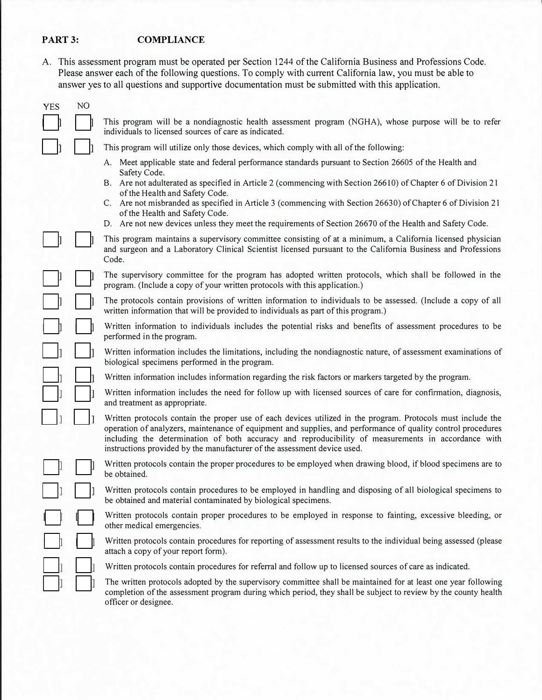# PART 3: **COMPLIANCE**

A. This assessment program must be operated per Section 1244 of the California Business and Professions Code. Please answer each of the following questions. To comply with current California law, you must be able to answer yes to all questions and supportive documentation must be submitted with this application.

| <b>YES</b> | NO |                                                                                                                                                                                                                                                                                                                                                                                                                 |
|------------|----|-----------------------------------------------------------------------------------------------------------------------------------------------------------------------------------------------------------------------------------------------------------------------------------------------------------------------------------------------------------------------------------------------------------------|
|            |    | This program will be a nondiagnostic health assessment program (NGHA), whose purpose will be to refer<br>individuals to licensed sources of care as indicated.                                                                                                                                                                                                                                                  |
|            |    | This program will utilize only those devices, which comply with all of the following:                                                                                                                                                                                                                                                                                                                           |
|            |    | A. Meet applicable state and federal performance standards pursuant to Section 26605 of the Health and                                                                                                                                                                                                                                                                                                          |
|            |    | Safety Code.<br>B. Are not adulterated as specified in Article 2 (commencing with Section 26610) of Chapter 6 of Division 21<br>of the Health and Safety Code.                                                                                                                                                                                                                                                  |
|            |    | C. Are not misbranded as specified in Article 3 (commencing with Section 26630) of Chapter 6 of Division 21<br>of the Health and Safety Code.                                                                                                                                                                                                                                                                   |
|            |    | D. Are not new devices unless they meet the requirements of Section 26670 of the Health and Safety Code.                                                                                                                                                                                                                                                                                                        |
|            |    | This program maintains a supervisory committee consisting of at a minimum, a California licensed physician<br>and surgeon and a Laboratory Clinical Scientist licensed pursuant to the California Business and Professions<br>Code.                                                                                                                                                                             |
|            |    | The supervisory committee for the program has adopted written protocols, which shall be followed in the<br>program. (Include a copy of your written protocols with this application.)                                                                                                                                                                                                                           |
|            |    | The protocols contain provisions of written information to individuals to be assessed. (Include a copy of all<br>written information that will be provided to individuals as part of this program.)                                                                                                                                                                                                             |
|            |    | Written information to individuals includes the potential risks and benefits of assessment procedures to be<br>performed in the program.                                                                                                                                                                                                                                                                        |
|            |    | Written information includes the limitations, including the nondiagnostic nature, of assessment examinations of<br>biological specimens performed in the program.                                                                                                                                                                                                                                               |
|            |    | Written information includes information regarding the risk factors or markers targeted by the program.                                                                                                                                                                                                                                                                                                         |
|            |    | Written information includes the need for follow up with licensed sources of care for confirmation, diagnosis,<br>and treatment as appropriate.                                                                                                                                                                                                                                                                 |
|            |    | Written protocols contain the proper use of each devices utilized in the program. Protocols must include the<br>operation of analyzers, maintenance of equipment and supplies, and performance of quality control procedures<br>including the determination of both accuracy and reproducibility of measurements in accordance with<br>instructions provided by the manufacturer of the assessment device used. |
|            |    | Written protocols contain the proper procedures to be employed when drawing blood, if blood specimens are to<br>be obtained.                                                                                                                                                                                                                                                                                    |
|            |    | Written protocols contain procedures to be employed in handling and disposing of all biological specimens to<br>be obtained and material contaminated by biological specimens.                                                                                                                                                                                                                                  |
|            |    | Written protocols contain proper procedures to be employed in response to fainting, excessive bleeding, or<br>other medical emergencies.                                                                                                                                                                                                                                                                        |
|            |    | Written protocols contain procedures for reporting of assessment results to the individual being assessed (please<br>attach a copy of your report form).                                                                                                                                                                                                                                                        |
|            |    | Written protocols contain procedures for referral and follow up to licensed sources of care as indicated.                                                                                                                                                                                                                                                                                                       |
|            |    | The written protocols adopted by the supervisory committee shall be maintained for at least one year following<br>completion of the assessment program during which period, they shall be subject to review by the county health<br>officer or designee.                                                                                                                                                        |